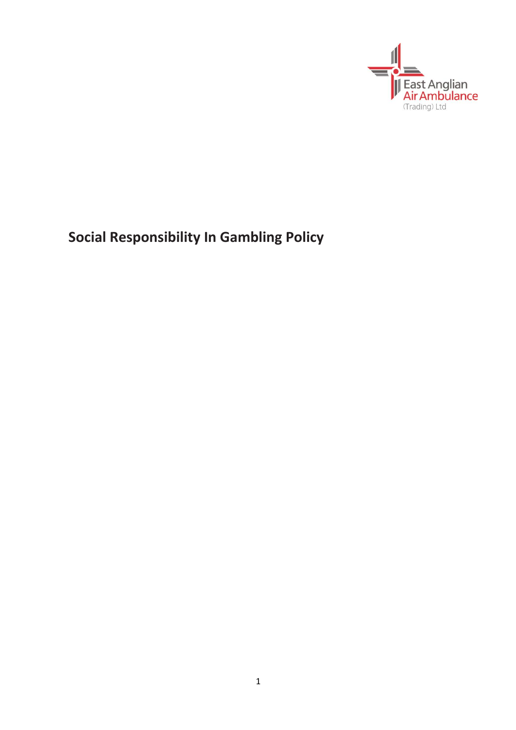

**Social Responsibility In Gambling Policy**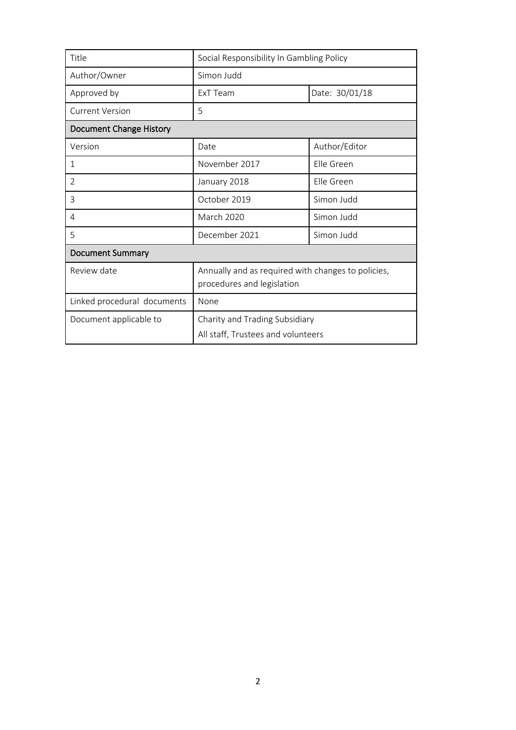| Title                       | Social Responsibility In Gambling Policy                                         |                |
|-----------------------------|----------------------------------------------------------------------------------|----------------|
| Author/Owner                | Simon Judd                                                                       |                |
| Approved by                 | ExT Team                                                                         | Date: 30/01/18 |
| <b>Current Version</b>      | 5                                                                                |                |
| Document Change History     |                                                                                  |                |
| Version                     | Date                                                                             | Author/Editor  |
| 1                           | November 2017                                                                    | Elle Green     |
| 2                           | January 2018                                                                     | Flle Green     |
| 3                           | October 2019                                                                     | Simon Judd     |
| 4                           | March 2020                                                                       | Simon Judd     |
| 5                           | December 2021                                                                    | Simon Judd     |
| <b>Document Summary</b>     |                                                                                  |                |
| Review date                 | Annually and as required with changes to policies,<br>procedures and legislation |                |
| Linked procedural documents | None                                                                             |                |
| Document applicable to      | Charity and Trading Subsidiary<br>All staff, Trustees and volunteers             |                |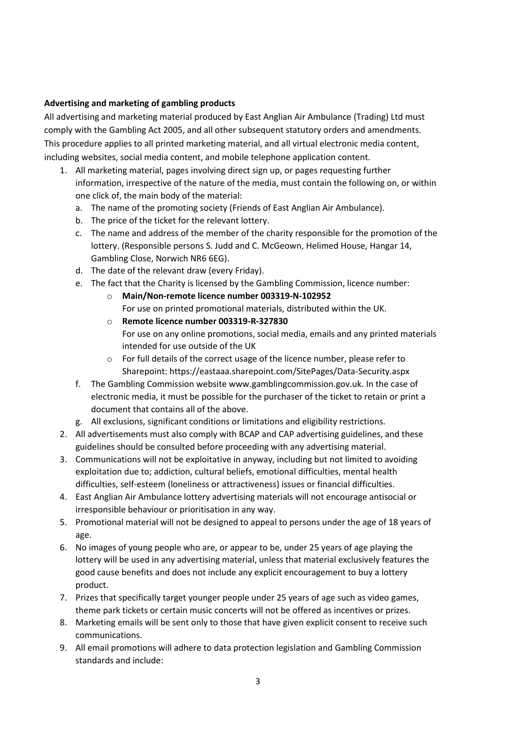### **Advertising and marketing of gambling products**

All advertising and marketing material produced by East Anglian Air Ambulance (Trading) Ltd must comply with the Gambling Act 2005, and all other subsequent statutory orders and amendments. This procedure applies to all printed marketing material, and all virtual electronic media content, including websites, social media content, and mobile telephone application content.

- 1. All marketing material, pages involving direct sign up, or pages requesting further information, irrespective of the nature of the media, must contain the following on, or within one click of, the main body of the material:
	- a. The name of the promoting society (Friends of East Anglian Air Ambulance).
	- b. The price of the ticket for the relevant lottery.
	- c. The name and address of the member of the charity responsible for the promotion of the lottery. (Responsible persons S. Judd and C. McGeown, Helimed House, Hangar 14, Gambling Close, Norwich NR6 6EG).
	- d. The date of the relevant draw (every Friday).
	- e. The fact that the Charity is licensed by the Gambling Commission, licence number:
		- o **Main/Non-remote licence number 003319-N-102952** For use on printed promotional materials, distributed within the UK.
		- o **Remote licence number 003319-R-327830** For use on any online promotions, social media, emails and any printed materials intended for use outside of the UK
		- o For full details of the correct usage of the licence number, please refer to Sharepoint: https://eastaaa.sharepoint.com/SitePages/Data-Security.aspx
	- f. The Gambling Commission website www.gamblingcommission.gov.uk. In the case of electronic media, it must be possible for the purchaser of the ticket to retain or print a document that contains all of the above.
	- g. All exclusions, significant conditions or limitations and eligibility restrictions.
- 2. All advertisements must also comply with BCAP and CAP advertising guidelines, and these guidelines should be consulted before proceeding with any advertising material.
- 3. Communications will not be exploitative in anyway, including but not limited to avoiding exploitation due to; addiction, cultural beliefs, emotional difficulties, mental health difficulties, self-esteem (loneliness or attractiveness) issues or financial difficulties.
- 4. East Anglian Air Ambulance lottery advertising materials will not encourage antisocial or irresponsible behaviour or prioritisation in any way.
- 5. Promotional material will not be designed to appeal to persons under the age of 18 years of age.
- 6. No images of young people who are, or appear to be, under 25 years of age playing the lottery will be used in any advertising material, unless that material exclusively features the good cause benefits and does not include any explicit encouragement to buy a lottery product.
- 7. Prizes that specifically target younger people under 25 years of age such as video games, theme park tickets or certain music concerts will not be offered as incentives or prizes.
- 8. Marketing emails will be sent only to those that have given explicit consent to receive such communications.
- 9. All email promotions will adhere to data protection legislation and Gambling Commission standards and include: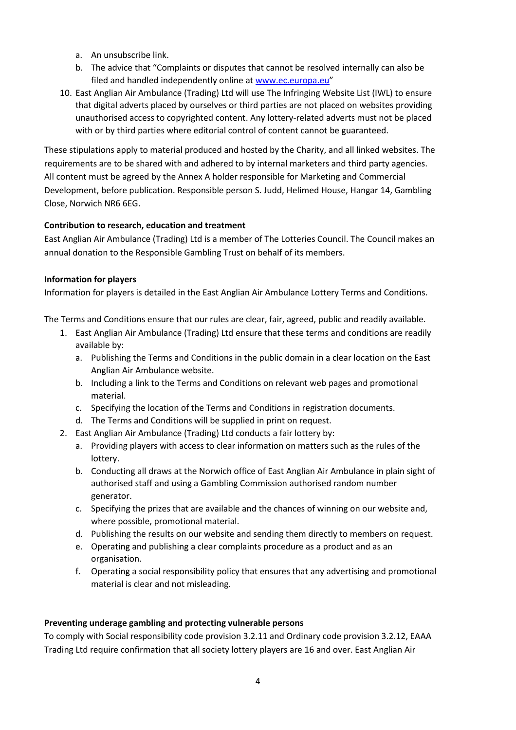- a. An unsubscribe link.
- b. The advice that "Complaints or disputes that cannot be resolved internally can also be filed and handled independently online a[t www.ec.europa.eu](http://www.ec.europa.eu/)"
- 10. East Anglian Air Ambulance (Trading) Ltd will use The Infringing Website List (IWL) to ensure that digital adverts placed by ourselves or third parties are not placed on websites providing unauthorised access to copyrighted content. Any lottery-related adverts must not be placed with or by third parties where editorial control of content cannot be guaranteed.

These stipulations apply to material produced and hosted by the Charity, and all linked websites. The requirements are to be shared with and adhered to by internal marketers and third party agencies. All content must be agreed by the Annex A holder responsible for Marketing and Commercial Development, before publication. Responsible person S. Judd, Helimed House, Hangar 14, Gambling Close, Norwich NR6 6EG.

# **Contribution to research, education and treatment**

East Anglian Air Ambulance (Trading) Ltd is a member of The Lotteries Council. The Council makes an annual donation to the Responsible Gambling Trust on behalf of its members.

## **Information for players**

Information for players is detailed in the East Anglian Air Ambulance Lottery Terms and Conditions.

The Terms and Conditions ensure that our rules are clear, fair, agreed, public and readily available.

- 1. East Anglian Air Ambulance (Trading) Ltd ensure that these terms and conditions are readily available by:
	- a. Publishing the Terms and Conditions in the public domain in a clear location on the East Anglian Air Ambulance website.
	- b. Including a link to the Terms and Conditions on relevant web pages and promotional material.
	- c. Specifying the location of the Terms and Conditions in registration documents.
	- d. The Terms and Conditions will be supplied in print on request.
- 2. East Anglian Air Ambulance (Trading) Ltd conducts a fair lottery by:
	- a. Providing players with access to clear information on matters such as the rules of the lottery.
	- b. Conducting all draws at the Norwich office of East Anglian Air Ambulance in plain sight of authorised staff and using a Gambling Commission authorised random number generator.
	- c. Specifying the prizes that are available and the chances of winning on our website and, where possible, promotional material.
	- d. Publishing the results on our website and sending them directly to members on request.
	- e. Operating and publishing a clear complaints procedure as a product and as an organisation.
	- f. Operating a social responsibility policy that ensures that any advertising and promotional material is clear and not misleading.

### **Preventing underage gambling and protecting vulnerable persons**

To comply with Social responsibility code provision 3.2.11 and Ordinary code provision 3.2.12, EAAA Trading Ltd require confirmation that all society lottery players are 16 and over. East Anglian Air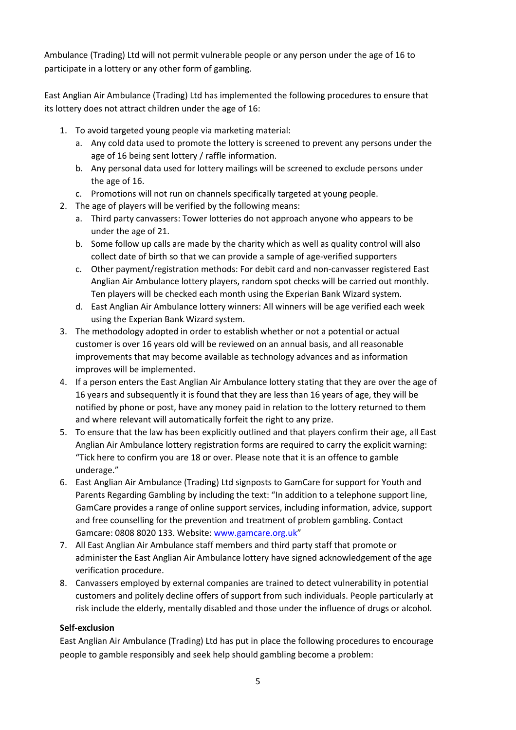Ambulance (Trading) Ltd will not permit vulnerable people or any person under the age of 16 to participate in a lottery or any other form of gambling.

East Anglian Air Ambulance (Trading) Ltd has implemented the following procedures to ensure that its lottery does not attract children under the age of 16:

- 1. To avoid targeted young people via marketing material:
	- a. Any cold data used to promote the lottery is screened to prevent any persons under the age of 16 being sent lottery / raffle information.
	- b. Any personal data used for lottery mailings will be screened to exclude persons under the age of 16.
	- c. Promotions will not run on channels specifically targeted at young people.
- 2. The age of players will be verified by the following means:
	- a. Third party canvassers: Tower lotteries do not approach anyone who appears to be under the age of 21.
	- b. Some follow up calls are made by the charity which as well as quality control will also collect date of birth so that we can provide a sample of age-verified supporters
	- c. Other payment/registration methods: For debit card and non-canvasser registered East Anglian Air Ambulance lottery players, random spot checks will be carried out monthly. Ten players will be checked each month using the Experian Bank Wizard system.
	- d. East Anglian Air Ambulance lottery winners: All winners will be age verified each week using the Experian Bank Wizard system.
- 3. The methodology adopted in order to establish whether or not a potential or actual customer is over 16 years old will be reviewed on an annual basis, and all reasonable improvements that may become available as technology advances and as information improves will be implemented.
- 4. If a person enters the East Anglian Air Ambulance lottery stating that they are over the age of 16 years and subsequently it is found that they are less than 16 years of age, they will be notified by phone or post, have any money paid in relation to the lottery returned to them and where relevant will automatically forfeit the right to any prize.
- 5. To ensure that the law has been explicitly outlined and that players confirm their age, all East Anglian Air Ambulance lottery registration forms are required to carry the explicit warning: "Tick here to confirm you are 18 or over. Please note that it is an offence to gamble underage."
- 6. East Anglian Air Ambulance (Trading) Ltd signposts to GamCare for support for Youth and Parents Regarding Gambling by including the text: "In addition to a telephone support line, GamCare provides a range of online support services, including information, advice, support and free counselling for the prevention and treatment of problem gambling. Contact Gamcare: 0808 8020 133. Website[: www.gamcare.org.uk](http://www.gamcare.org.uk/)"
- 7. All East Anglian Air Ambulance staff members and third party staff that promote or administer the East Anglian Air Ambulance lottery have signed acknowledgement of the age verification procedure.
- 8. Canvassers employed by external companies are trained to detect vulnerability in potential customers and politely decline offers of support from such individuals. People particularly at risk include the elderly, mentally disabled and those under the influence of drugs or alcohol.

### **Self-exclusion**

East Anglian Air Ambulance (Trading) Ltd has put in place the following procedures to encourage people to gamble responsibly and seek help should gambling become a problem: